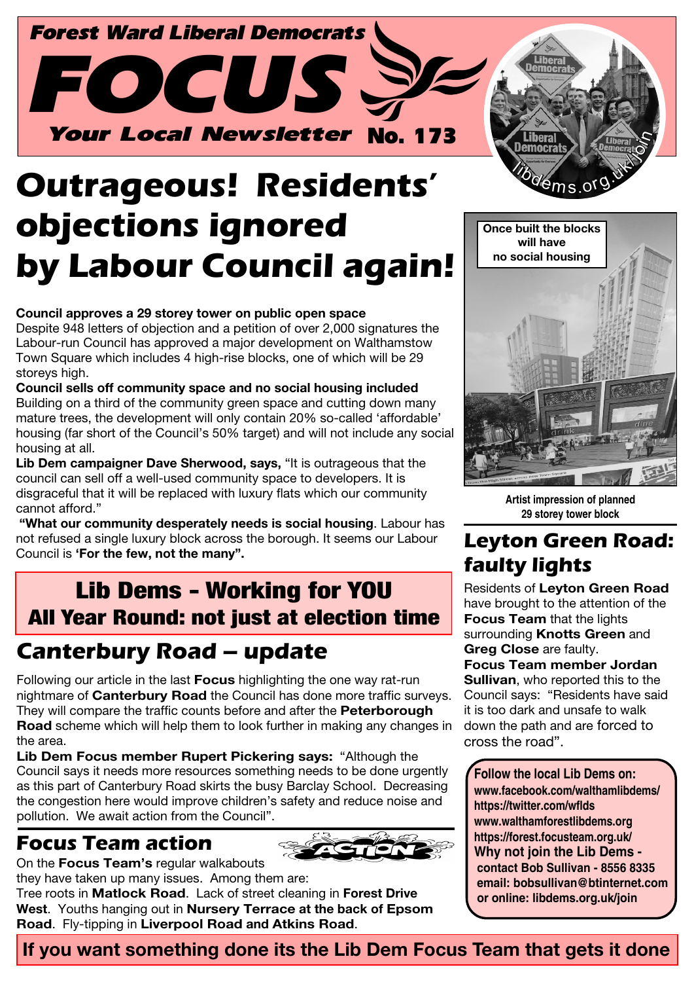

# **Outrageous! Residents' objections ignored by Labour Council again!**

#### **Council approves a 29 storey tower on public open space**

Despite 948 letters of objection and a petition of over 2,000 signatures the Labour-run Council has approved a major development on Walthamstow Town Square which includes 4 high-rise blocks, one of which will be 29 storeys high.

**Council sells off community space and no social housing included** Building on a third of the community green space and cutting down many mature trees, the development will only contain 20% so-called 'affordable' housing (far short of the Council's 50% target) and will not include any social housing at all.

**Lib Dem campaigner Dave Sherwood, says,** "It is outrageous that the council can sell off a well-used community space to developers. It is disgraceful that it will be replaced with luxury flats which our community cannot afford."

 **"What our community desperately needs is social housing**. Labour has not refused a single luxury block across the borough. It seems our Labour Council is **'For the few, not the many".**

### Lib Dems - Working for YOU All Year Round: not just at election time

### **Canterbury Road – update**

Following our article in the last **Focus** highlighting the one way rat-run nightmare of **Canterbury Road** the Council has done more traffic surveys. They will compare the traffic counts before and after the **Peterborough Road** scheme which will help them to look further in making any changes in the area.

**Lib Dem Focus member Rupert Pickering says:** "Although the Council says it needs more resources something needs to be done urgently as this part of Canterbury Road skirts the busy Barclay School. Decreasing the congestion here would improve children's safety and reduce noise and pollution. We await action from the Council".

#### **Focus Team action**

On the **Focus Team's** regular walkabouts



they have taken up many issues. Among them are:

Tree roots in **Matlock Road**. Lack of street cleaning in **Forest Drive West**. Youths hanging out in **Nursery Terrace at the back of Epsom Road**. Fly-tipping in **Liverpool Road and Atkins Road**.



**Artist impression of planned 29 storey tower block**

#### **Leyton Green Road: faulty lights**

Residents of **Leyton Green Road** have brought to the attention of the **Focus Team** that the lights surrounding **Knotts Green** and **Greg Close** are faulty. **Focus Team member Jordan Sullivan**, who reported this to the Council says: "Residents have said it is too dark and unsafe to walk down the path and are forced to cross the road".

**Follow the local Lib Dems on: www.facebook.com/walthamlibdems/ https://twitter.com/wflds www.walthamforestlibdems.org https://forest.focusteam.org.uk/ Why not join the Lib Dems contact Bob Sullivan - 8556 8335 email: bobsullivan@btinternet.com or online: libdems.org.uk/join**

**If you want something done its the Lib Dem Focus Team that gets it done**